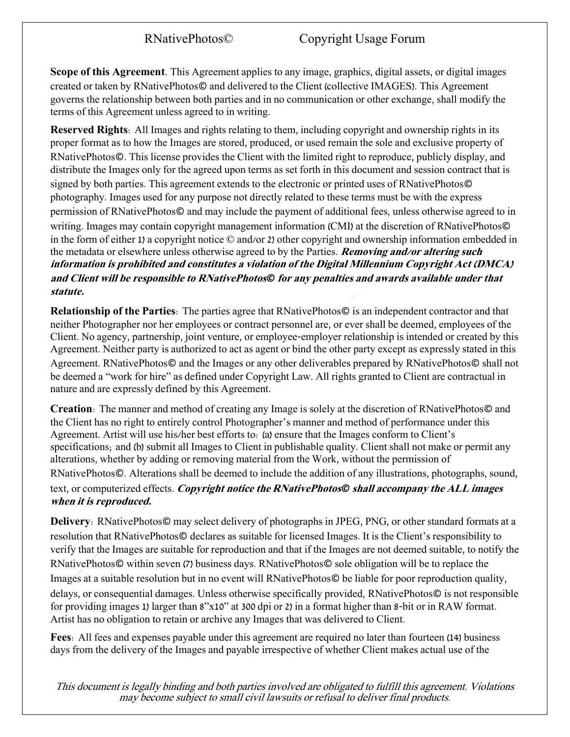## RNativePhotos© Copyright Usage Forum

**Scope of this Agreement**. This Agreement applies to any image, graphics, digital assets, or digital images created or taken by RNativePhotos© and delivered to the Client (collective IMAGES). This Agreement governs the relationship between both parties and in no communication or other exchange, shall modify the terms of this Agreement unless agreed to in writing.

**Reserved Rights**: All Images and rights relating to them, including copyright and ownership rights in its proper format as to how the Images are stored, produced, or used remain the sole and exclusive property of RNativePhotos©. This license provides the Client with the limited right to reproduce, publicly display, and distribute the Images only for the agreed upon terms as set forth in this document and session contract that is signed by both parties. This agreement extends to the electronic or printed uses of RNativePhotos© photography. Images used for any purpose not directly related to these terms must be with the express permission of RNativePhotos© and may include the payment of additional fees, unless otherwise agreed to in writing. Images may contain copyright management information (CMI) at the discretion of RNativePhotos© in the form of either 1) a copyright notice © and/or 2) other copyright and ownership information embedded in the metadata or elsewhere unless otherwise agreed to by the Parties. **Removing and/or altering such information is prohibited and constitutes a violation of the Digital Millennium Copyright Act (DMCA) and Client will be responsible to RNativePhotos***©* **for any penalties and awards available under that statute.**

**Relationship of the Parties**: The parties agree that RNativePhotos© is an independent contractor and that neither Photographer nor her employees or contract personnel are, or ever shall be deemed, employees of the Client. No agency, partnership, joint venture, or employee-employer relationship is intended or created by this Agreement. Neither party is authorized to act as agent or bind the other party except as expressly stated in this Agreement. RNativePhotos© and the Images or any other deliverables prepared by RNativePhotos© shall not be deemed a "work for hire" as defined under Copyright Law. All rights granted to Client are contractual in nature and are expressly defined by this Agreement.

**Creation**: The manner and method of creating any Image is solely at the discretion of RNativePhotos© and the Client has no right to entirely control Photographer's manner and method of performance under this Agreement. Artist will use his/her best efforts to: (a) ensure that the Images conform to Client's specifications; and (b) submit all Images to Client in publishable quality. Client shall not make or permit any alterations, whether by adding or removing material from the Work, without the permission of RNativePhotos©. Alterations shall be deemed to include the addition of any illustrations, photographs, sound, text, or computerized effects. **Copyright notice the RNativePhotos***©* **shall accompany the ALL images when it is reproduced.**

**Delivery**: RNativePhotos© may select delivery of photographs in JPEG, PNG, or other standard formats at a resolution that RNativePhotos© declares as suitable for licensed Images. It is the Client's responsibility to verify that the Images are suitable for reproduction and that if the Images are not deemed suitable, to notify the RNativePhotos© within seven (7) business days. RNativePhotos© sole obligation will be to replace the Images at a suitable resolution but in no event will RNativePhotos© be liable for poor reproduction quality, delays, or consequential damages. Unless otherwise specifically provided, RNativePhotos© is not responsible for providing images 1) larger than 8"x10" at 300 dpi or 2) in a format higher than 8-bit or in RAW format. Artist has no obligation to retain or archive any Images that was delivered to Client.

Fees: All fees and expenses payable under this agreement are required no later than fourteen (14) business days from the delivery of the Images and payable irrespective of whether Client makes actual use of the

This document is legally binding and both parties involved are obligated to fulfill this agreement. Violations may become subject to small civil lawsuits or refusal to deliver final products.